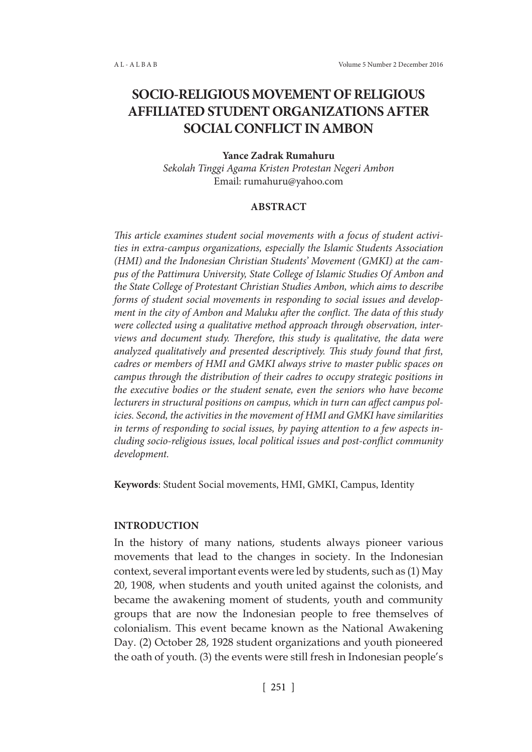# **SOCIO-RELIGIOUS MOVEMENT OF RELIGIOUS AFFILIATED STUDENT ORGANIZATIONS AFTER SOCIAL CONFLICT IN AMBON**

## **Yance Zadrak Rumahuru**

*Sekolah Tinggi Agama Kristen Protestan Negeri Ambon* Email: rumahuru@yahoo.com

## **ABSTRACT**

*This article examines student social movements with a focus of student activities in extra-campus organizations, especially the Islamic Students Association (HMI) and the Indonesian Christian Students' Movement (GMKI) at the campus of the Pattimura University, State College of Islamic Studies Of Ambon and the State College of Protestant Christian Studies Ambon, which aims to describe forms of student social movements in responding to social issues and development in the city of Ambon and Maluku after the conflict. The data of this study were collected using a qualitative method approach through observation, interviews and document study. Therefore, this study is qualitative, the data were analyzed qualitatively and presented descriptively. This study found that first, cadres or members of HMI and GMKI always strive to master public spaces on campus through the distribution of their cadres to occupy strategic positions in the executive bodies or the student senate, even the seniors who have become lecturers in structural positions on campus, which in turn can affect campus policies. Second, the activities in the movement of HMI and GMKI have similarities in terms of responding to social issues, by paying attention to a few aspects including socio-religious issues, local political issues and post-conflict community development.*

**Keywords**: Student Social movements, HMI, GMKI, Campus, Identity

#### **INTRODUCTION**

In the history of many nations, students always pioneer various movements that lead to the changes in society. In the Indonesian context, several important events were led by students, such as (1) May 20, 1908, when students and youth united against the colonists, and became the awakening moment of students, youth and community groups that are now the Indonesian people to free themselves of colonialism. This event became known as the National Awakening Day. (2) October 28, 1928 student organizations and youth pioneered the oath of youth. (3) the events were still fresh in Indonesian people's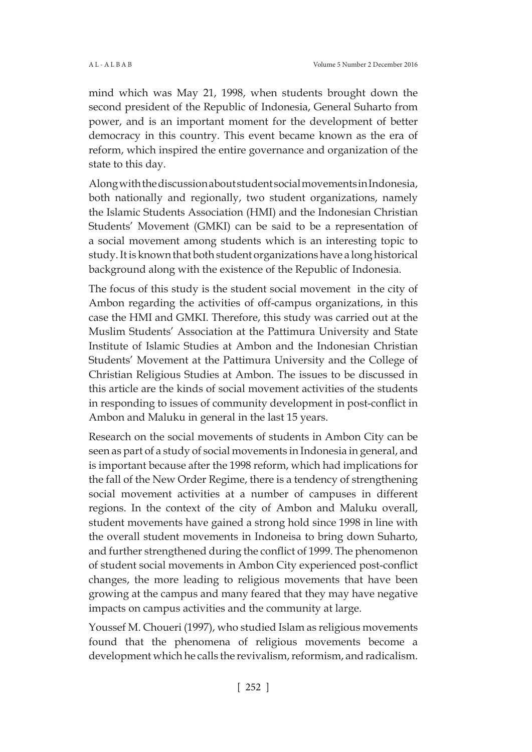mind which was May 21, 1998, when students brought down the second president of the Republic of Indonesia, General Suharto from power, and is an important moment for the development of better democracy in this country. This event became known as the era of reform, which inspired the entire governance and organization of the state to this day.

Along with the discussion about student social movements in Indonesia, both nationally and regionally, two student organizations, namely the Islamic Students Association (HMI) and the Indonesian Christian Students' Movement (GMKI) can be said to be a representation of a social movement among students which is an interesting topic to study. It is known that both student organizations have a long historical background along with the existence of the Republic of Indonesia.

The focus of this study is the student social movement in the city of Ambon regarding the activities of off-campus organizations, in this case the HMI and GMKI. Therefore, this study was carried out at the Muslim Students' Association at the Pattimura University and State Institute of Islamic Studies at Ambon and the Indonesian Christian Students' Movement at the Pattimura University and the College of Christian Religious Studies at Ambon. The issues to be discussed in this article are the kinds of social movement activities of the students in responding to issues of community development in post-conflict in Ambon and Maluku in general in the last 15 years.

Research on the social movements of students in Ambon City can be seen as part of a study of social movements in Indonesia in general, and is important because after the 1998 reform, which had implications for the fall of the New Order Regime, there is a tendency of strengthening social movement activities at a number of campuses in different regions. In the context of the city of Ambon and Maluku overall, student movements have gained a strong hold since 1998 in line with the overall student movements in Indoneisa to bring down Suharto, and further strengthened during the conflict of 1999. The phenomenon of student social movements in Ambon City experienced post-conflict changes, the more leading to religious movements that have been growing at the campus and many feared that they may have negative impacts on campus activities and the community at large.

Youssef M. Choueri (1997), who studied Islam as religious movements found that the phenomena of religious movements become a development which he calls the revivalism, reformism, and radicalism.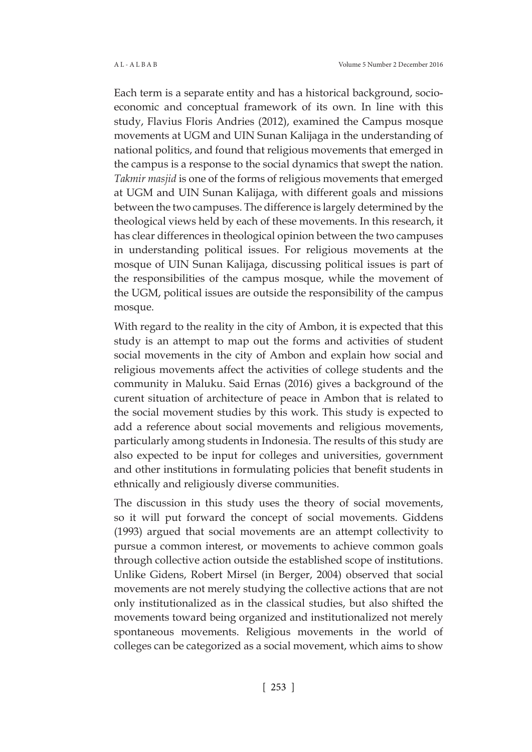Each term is a separate entity and has a historical background, socioeconomic and conceptual framework of its own. In line with this study, Flavius Floris Andries (2012), examined the Campus mosque movements at UGM and UIN Sunan Kalijaga in the understanding of national politics, and found that religious movements that emerged in the campus is a response to the social dynamics that swept the nation. *Takmir masjid* is one of the forms of religious movements that emerged at UGM and UIN Sunan Kalijaga, with different goals and missions between the two campuses. The difference is largely determined by the theological views held by each of these movements. In this research, it has clear differences in theological opinion between the two campuses in understanding political issues. For religious movements at the mosque of UIN Sunan Kalijaga, discussing political issues is part of the responsibilities of the campus mosque, while the movement of the UGM, political issues are outside the responsibility of the campus mosque.

With regard to the reality in the city of Ambon, it is expected that this study is an attempt to map out the forms and activities of student social movements in the city of Ambon and explain how social and religious movements affect the activities of college students and the community in Maluku. Said Ernas (2016) gives a background of the curent situation of architecture of peace in Ambon that is related to the social movement studies by this work. This study is expected to add a reference about social movements and religious movements, particularly among students in Indonesia. The results of this study are also expected to be input for colleges and universities, government and other institutions in formulating policies that benefit students in ethnically and religiously diverse communities.

The discussion in this study uses the theory of social movements, so it will put forward the concept of social movements. Giddens (1993) argued that social movements are an attempt collectivity to pursue a common interest, or movements to achieve common goals through collective action outside the established scope of institutions. Unlike Gidens, Robert Mirsel (in Berger, 2004) observed that social movements are not merely studying the collective actions that are not only institutionalized as in the classical studies, but also shifted the movements toward being organized and institutionalized not merely spontaneous movements. Religious movements in the world of colleges can be categorized as a social movement, which aims to show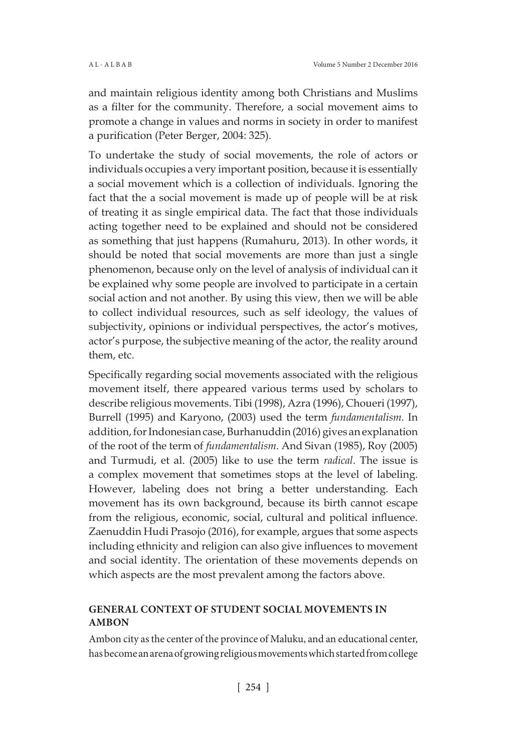and maintain religious identity among both Christians and Muslims as a filter for the community. Therefore, a social movement aims to promote a change in values and norms in society in order to manifest a purification (Peter Berger, 2004: 325).

To undertake the study of social movements, the role of actors or individuals occupies a very important position, because it is essentially a social movement which is a collection of individuals. Ignoring the fact that the a social movement is made up of people will be at risk of treating it as single empirical data. The fact that those individuals acting together need to be explained and should not be considered as something that just happens (Rumahuru, 2013). In other words, it should be noted that social movements are more than just a single phenomenon, because only on the level of analysis of individual can it be explained why some people are involved to participate in a certain social action and not another. By using this view, then we will be able to collect individual resources, such as self ideology, the values of subjectivity, opinions or individual perspectives, the actor's motives, actor's purpose, the subjective meaning of the actor, the reality around them, etc.

Specifically regarding social movements associated with the religious movement itself, there appeared various terms used by scholars to describe religious movements. Tibi (1998), Azra (1996), Choueri (1997), Burrell (1995) and Karyono, (2003) used the term *fundamentalism*. In addition, for Indonesian case, Burhanuddin (2016) gives an explanation of the root of the term of *fundamentalism*. And Sivan (1985), Roy (2005) and Turmudi, et al. (2005) like to use the term *radical*. The issue is a complex movement that sometimes stops at the level of labeling. However, labeling does not bring a better understanding. Each movement has its own background, because its birth cannot escape from the religious, economic, social, cultural and political influence. Zaenuddin Hudi Prasojo (2016), for example, argues that some aspects including ethnicity and religion can also give influences to movement and social identity. The orientation of these movements depends on which aspects are the most prevalent among the factors above.

# **GENERAL CONTEXT OF STUDENT SOCIAL MOVEMENTS IN AMBON**

Ambon city as the center of the province of Maluku, and an educational center, has become an arena of growing religious movements which started from college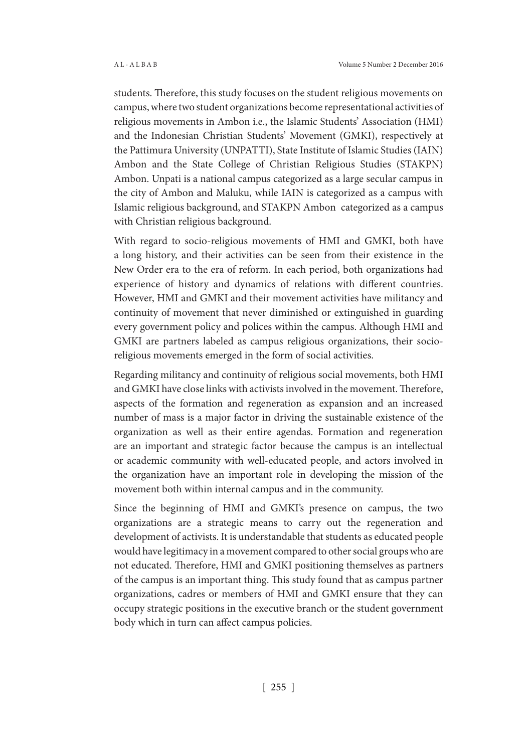students. Therefore, this study focuses on the student religious movements on campus, where two student organizations become representational activities of religious movements in Ambon i.e., the Islamic Students' Association (HMI) and the Indonesian Christian Students' Movement (GMKI), respectively at the Pattimura University (UNPATTI), State Institute of Islamic Studies (IAIN) Ambon and the State College of Christian Religious Studies (STAKPN) Ambon. Unpati is a national campus categorized as a large secular campus in the city of Ambon and Maluku, while IAIN is categorized as a campus with Islamic religious background, and STAKPN Ambon categorized as a campus with Christian religious background.

With regard to socio-religious movements of HMI and GMKI, both have a long history, and their activities can be seen from their existence in the New Order era to the era of reform. In each period, both organizations had experience of history and dynamics of relations with different countries. However, HMI and GMKI and their movement activities have militancy and continuity of movement that never diminished or extinguished in guarding every government policy and polices within the campus. Although HMI and GMKI are partners labeled as campus religious organizations, their socioreligious movements emerged in the form of social activities.

Regarding militancy and continuity of religious social movements, both HMI and GMKI have close links with activists involved in the movement. Therefore, aspects of the formation and regeneration as expansion and an increased number of mass is a major factor in driving the sustainable existence of the organization as well as their entire agendas. Formation and regeneration are an important and strategic factor because the campus is an intellectual or academic community with well-educated people, and actors involved in the organization have an important role in developing the mission of the movement both within internal campus and in the community.

Since the beginning of HMI and GMKI's presence on campus, the two organizations are a strategic means to carry out the regeneration and development of activists. It is understandable that students as educated people would have legitimacy in a movement compared to other social groups who are not educated. Therefore, HMI and GMKI positioning themselves as partners of the campus is an important thing. This study found that as campus partner organizations, cadres or members of HMI and GMKI ensure that they can occupy strategic positions in the executive branch or the student government body which in turn can affect campus policies.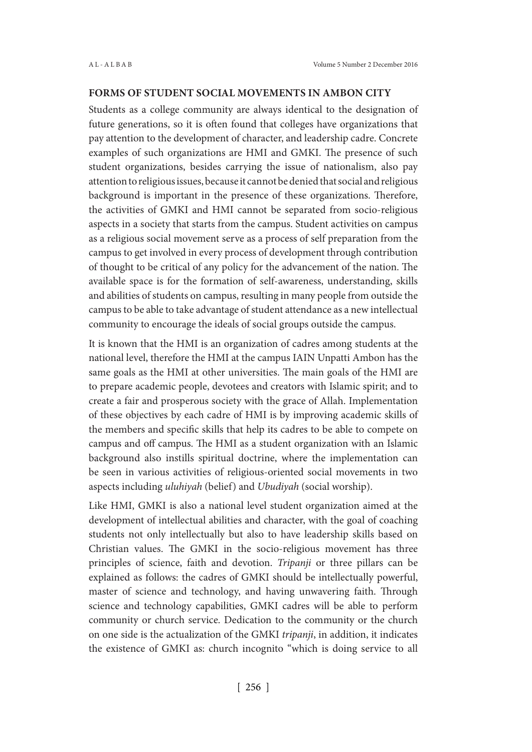### **FORMS OF STUDENT SOCIAL MOVEMENTS IN AMBON CITY**

Students as a college community are always identical to the designation of future generations, so it is often found that colleges have organizations that pay attention to the development of character, and leadership cadre. Concrete examples of such organizations are HMI and GMKI. The presence of such student organizations, besides carrying the issue of nationalism, also pay attention to religious issues, because it cannot be denied that social and religious background is important in the presence of these organizations. Therefore, the activities of GMKI and HMI cannot be separated from socio-religious aspects in a society that starts from the campus. Student activities on campus as a religious social movement serve as a process of self preparation from the campus to get involved in every process of development through contribution of thought to be critical of any policy for the advancement of the nation. The available space is for the formation of self-awareness, understanding, skills and abilities of students on campus, resulting in many people from outside the campus to be able to take advantage of student attendance as a new intellectual community to encourage the ideals of social groups outside the campus.

It is known that the HMI is an organization of cadres among students at the national level, therefore the HMI at the campus IAIN Unpatti Ambon has the same goals as the HMI at other universities. The main goals of the HMI are to prepare academic people, devotees and creators with Islamic spirit; and to create a fair and prosperous society with the grace of Allah. Implementation of these objectives by each cadre of HMI is by improving academic skills of the members and specific skills that help its cadres to be able to compete on campus and off campus. The HMI as a student organization with an Islamic background also instills spiritual doctrine, where the implementation can be seen in various activities of religious-oriented social movements in two aspects including *uluhiyah* (belief) and *Ubudiyah* (social worship).

Like HMI, GMKI is also a national level student organization aimed at the development of intellectual abilities and character, with the goal of coaching students not only intellectually but also to have leadership skills based on Christian values. The GMKI in the socio-religious movement has three principles of science, faith and devotion. *Tripanji* or three pillars can be explained as follows: the cadres of GMKI should be intellectually powerful, master of science and technology, and having unwavering faith. Through science and technology capabilities, GMKI cadres will be able to perform community or church service. Dedication to the community or the church on one side is the actualization of the GMKI *tripanji*, in addition, it indicates the existence of GMKI as: church incognito "which is doing service to all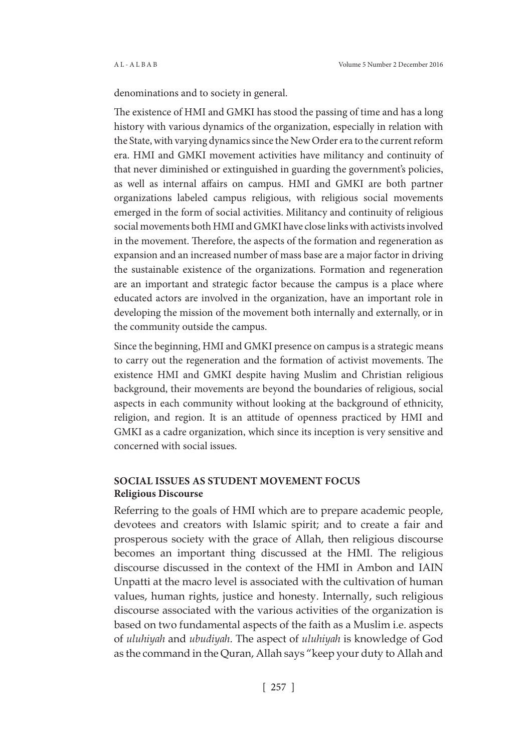denominations and to society in general.

The existence of HMI and GMKI has stood the passing of time and has a long history with various dynamics of the organization, especially in relation with the State, with varying dynamics since the New Order era to the current reform era. HMI and GMKI movement activities have militancy and continuity of that never diminished or extinguished in guarding the government's policies, as well as internal affairs on campus. HMI and GMKI are both partner organizations labeled campus religious, with religious social movements emerged in the form of social activities. Militancy and continuity of religious social movements both HMI and GMKI have close links with activists involved in the movement. Therefore, the aspects of the formation and regeneration as expansion and an increased number of mass base are a major factor in driving the sustainable existence of the organizations. Formation and regeneration are an important and strategic factor because the campus is a place where educated actors are involved in the organization, have an important role in developing the mission of the movement both internally and externally, or in the community outside the campus.

Since the beginning, HMI and GMKI presence on campus is a strategic means to carry out the regeneration and the formation of activist movements. The existence HMI and GMKI despite having Muslim and Christian religious background, their movements are beyond the boundaries of religious, social aspects in each community without looking at the background of ethnicity, religion, and region. It is an attitude of openness practiced by HMI and GMKI as a cadre organization, which since its inception is very sensitive and concerned with social issues.

## **SOCIAL ISSUES AS STUDENT MOVEMENT FOCUS Religious Discourse**

Referring to the goals of HMI which are to prepare academic people, devotees and creators with Islamic spirit; and to create a fair and prosperous society with the grace of Allah, then religious discourse becomes an important thing discussed at the HMI. The religious discourse discussed in the context of the HMI in Ambon and IAIN Unpatti at the macro level is associated with the cultivation of human values, human rights, justice and honesty. Internally, such religious discourse associated with the various activities of the organization is based on two fundamental aspects of the faith as a Muslim i.e. aspects of *uluhiyah* and *ubudiyah*. The aspect of *uluhiyah* is knowledge of God as the command in the Quran, Allah says "keep your duty to Allah and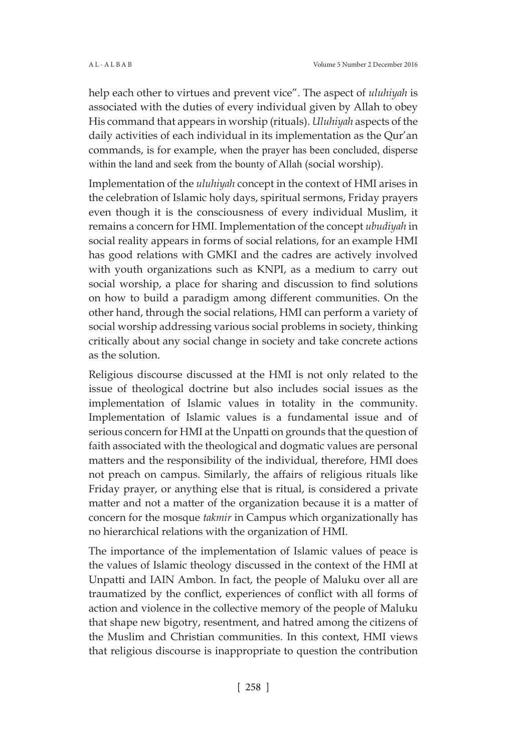help each other to virtues and prevent vice". The aspect of *uluhiyah* is associated with the duties of every individual given by Allah to obey His command that appears in worship (rituals). *Uluhiyah* aspects of the daily activities of each individual in its implementation as the Qur'an commands, is for example, when the prayer has been concluded, disperse within the land and seek from the bounty of Allah (social worship).

Implementation of the *uluhiyah* concept in the context of HMI arises in the celebration of Islamic holy days, spiritual sermons, Friday prayers even though it is the consciousness of every individual Muslim, it remains a concern for HMI. Implementation of the concept *ubudiyah* in social reality appears in forms of social relations, for an example HMI has good relations with GMKI and the cadres are actively involved with youth organizations such as KNPI, as a medium to carry out social worship, a place for sharing and discussion to find solutions on how to build a paradigm among different communities. On the other hand, through the social relations, HMI can perform a variety of social worship addressing various social problems in society, thinking critically about any social change in society and take concrete actions as the solution.

Religious discourse discussed at the HMI is not only related to the issue of theological doctrine but also includes social issues as the implementation of Islamic values in totality in the community. Implementation of Islamic values is a fundamental issue and of serious concern for HMI at the Unpatti on grounds that the question of faith associated with the theological and dogmatic values are personal matters and the responsibility of the individual, therefore, HMI does not preach on campus. Similarly, the affairs of religious rituals like Friday prayer, or anything else that is ritual, is considered a private matter and not a matter of the organization because it is a matter of concern for the mosque *takmir* in Campus which organizationally has no hierarchical relations with the organization of HMI.

The importance of the implementation of Islamic values of peace is the values of Islamic theology discussed in the context of the HMI at Unpatti and IAIN Ambon. In fact, the people of Maluku over all are traumatized by the conflict, experiences of conflict with all forms of action and violence in the collective memory of the people of Maluku that shape new bigotry, resentment, and hatred among the citizens of the Muslim and Christian communities. In this context, HMI views that religious discourse is inappropriate to question the contribution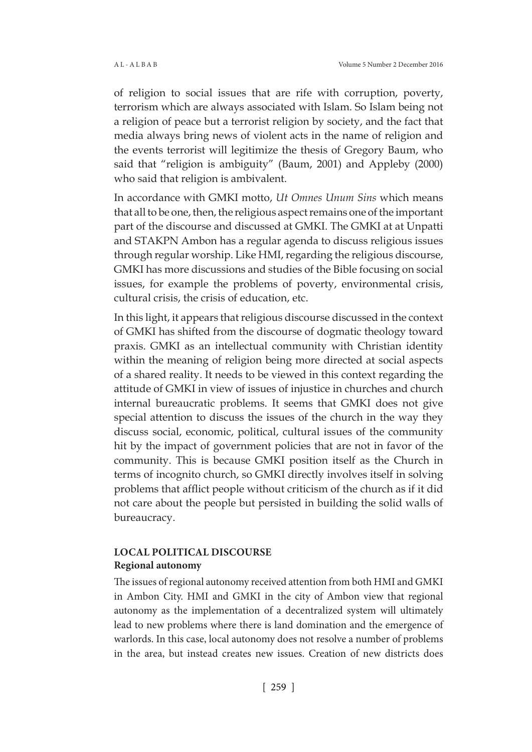of religion to social issues that are rife with corruption, poverty, terrorism which are always associated with Islam. So Islam being not a religion of peace but a terrorist religion by society, and the fact that media always bring news of violent acts in the name of religion and the events terrorist will legitimize the thesis of Gregory Baum, who said that "religion is ambiguity" (Baum, 2001) and Appleby (2000) who said that religion is ambivalent.

In accordance with GMKI motto, *Ut Omnes Unum Sins* which means that all to be one, then, the religious aspect remains one of the important part of the discourse and discussed at GMKI. The GMKI at at Unpatti and STAKPN Ambon has a regular agenda to discuss religious issues through regular worship. Like HMI, regarding the religious discourse, GMKI has more discussions and studies of the Bible focusing on social issues, for example the problems of poverty, environmental crisis, cultural crisis, the crisis of education, etc.

In this light, it appears that religious discourse discussed in the context of GMKI has shifted from the discourse of dogmatic theology toward praxis. GMKI as an intellectual community with Christian identity within the meaning of religion being more directed at social aspects of a shared reality. It needs to be viewed in this context regarding the attitude of GMKI in view of issues of injustice in churches and church internal bureaucratic problems. It seems that GMKI does not give special attention to discuss the issues of the church in the way they discuss social, economic, political, cultural issues of the community hit by the impact of government policies that are not in favor of the community. This is because GMKI position itself as the Church in terms of incognito church, so GMKI directly involves itself in solving problems that afflict people without criticism of the church as if it did not care about the people but persisted in building the solid walls of bureaucracy.

## **LOCAL POLITICAL DISCOURSE Regional autonomy**

The issues of regional autonomy received attention from both HMI and GMKI in Ambon City. HMI and GMKI in the city of Ambon view that regional autonomy as the implementation of a decentralized system will ultimately lead to new problems where there is land domination and the emergence of warlords. In this case, local autonomy does not resolve a number of problems in the area, but instead creates new issues. Creation of new districts does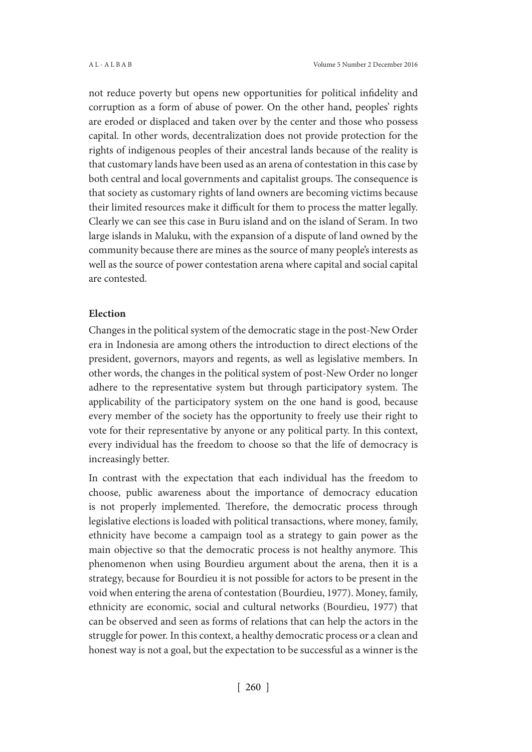not reduce poverty but opens new opportunities for political infidelity and corruption as a form of abuse of power. On the other hand, peoples' rights are eroded or displaced and taken over by the center and those who possess capital. In other words, decentralization does not provide protection for the rights of indigenous peoples of their ancestral lands because of the reality is that customary lands have been used as an arena of contestation in this case by both central and local governments and capitalist groups. The consequence is that society as customary rights of land owners are becoming victims because their limited resources make it difficult for them to process the matter legally. Clearly we can see this case in Buru island and on the island of Seram. In two large islands in Maluku, with the expansion of a dispute of land owned by the community because there are mines as the source of many people's interests as well as the source of power contestation arena where capital and social capital are contested.

#### **Election**

Changes in the political system of the democratic stage in the post-New Order era in Indonesia are among others the introduction to direct elections of the president, governors, mayors and regents, as well as legislative members. In other words, the changes in the political system of post-New Order no longer adhere to the representative system but through participatory system. The applicability of the participatory system on the one hand is good, because every member of the society has the opportunity to freely use their right to vote for their representative by anyone or any political party. In this context, every individual has the freedom to choose so that the life of democracy is increasingly better.

In contrast with the expectation that each individual has the freedom to choose, public awareness about the importance of democracy education is not properly implemented. Therefore, the democratic process through legislative elections is loaded with political transactions, where money, family, ethnicity have become a campaign tool as a strategy to gain power as the main objective so that the democratic process is not healthy anymore. This phenomenon when using Bourdieu argument about the arena, then it is a strategy, because for Bourdieu it is not possible for actors to be present in the void when entering the arena of contestation (Bourdieu, 1977). Money, family, ethnicity are economic, social and cultural networks (Bourdieu, 1977) that can be observed and seen as forms of relations that can help the actors in the struggle for power. In this context, a healthy democratic process or a clean and honest way is not a goal, but the expectation to be successful as a winner is the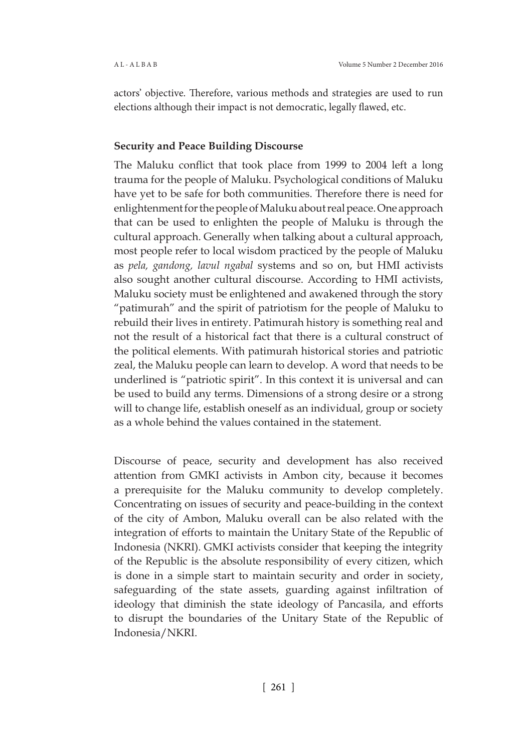actors' objective. Therefore, various methods and strategies are used to run elections although their impact is not democratic, legally flawed, etc.

## **Security and Peace Building Discourse**

The Maluku conflict that took place from 1999 to 2004 left a long trauma for the people of Maluku. Psychological conditions of Maluku have yet to be safe for both communities. Therefore there is need for enlightenment for the people of Maluku about real peace. One approach that can be used to enlighten the people of Maluku is through the cultural approach. Generally when talking about a cultural approach, most people refer to local wisdom practiced by the people of Maluku as *pela, gandong, lavul ngabal* systems and so on, but HMI activists also sought another cultural discourse. According to HMI activists, Maluku society must be enlightened and awakened through the story "patimurah" and the spirit of patriotism for the people of Maluku to rebuild their lives in entirety. Patimurah history is something real and not the result of a historical fact that there is a cultural construct of the political elements. With patimurah historical stories and patriotic zeal, the Maluku people can learn to develop. A word that needs to be underlined is "patriotic spirit". In this context it is universal and can be used to build any terms. Dimensions of a strong desire or a strong will to change life, establish oneself as an individual, group or society as a whole behind the values contained in the statement.

Discourse of peace, security and development has also received attention from GMKI activists in Ambon city, because it becomes a prerequisite for the Maluku community to develop completely. Concentrating on issues of security and peace-building in the context of the city of Ambon, Maluku overall can be also related with the integration of efforts to maintain the Unitary State of the Republic of Indonesia (NKRI). GMKI activists consider that keeping the integrity of the Republic is the absolute responsibility of every citizen, which is done in a simple start to maintain security and order in society, safeguarding of the state assets, guarding against infiltration of ideology that diminish the state ideology of Pancasila, and efforts to disrupt the boundaries of the Unitary State of the Republic of Indonesia/NKRI.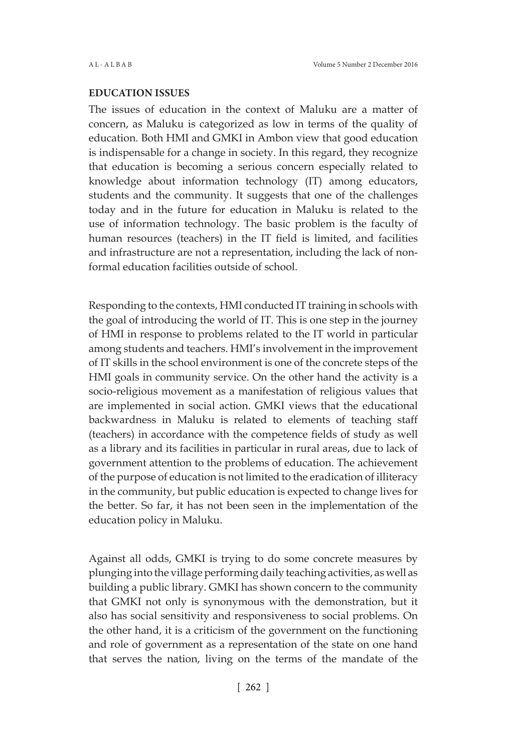## **EDUCATION ISSUES**

The issues of education in the context of Maluku are a matter of concern, as Maluku is categorized as low in terms of the quality of education. Both HMI and GMKI in Ambon view that good education is indispensable for a change in society. In this regard, they recognize that education is becoming a serious concern especially related to knowledge about information technology (IT) among educators, students and the community. It suggests that one of the challenges today and in the future for education in Maluku is related to the use of information technology. The basic problem is the faculty of human resources (teachers) in the IT field is limited, and facilities and infrastructure are not a representation, including the lack of nonformal education facilities outside of school.

Responding to the contexts, HMI conducted IT training in schools with the goal of introducing the world of IT. This is one step in the journey of HMI in response to problems related to the IT world in particular among students and teachers. HMI's involvement in the improvement of IT skills in the school environment is one of the concrete steps of the HMI goals in community service. On the other hand the activity is a socio-religious movement as a manifestation of religious values that are implemented in social action. GMKI views that the educational backwardness in Maluku is related to elements of teaching staff (teachers) in accordance with the competence fields of study as well as a library and its facilities in particular in rural areas, due to lack of government attention to the problems of education. The achievement of the purpose of education is not limited to the eradication of illiteracy in the community, but public education is expected to change lives for the better. So far, it has not been seen in the implementation of the education policy in Maluku.

Against all odds, GMKI is trying to do some concrete measures by plunging into the village performing daily teaching activities, as well as building a public library. GMKI has shown concern to the community that GMKI not only is synonymous with the demonstration, but it also has social sensitivity and responsiveness to social problems. On the other hand, it is a criticism of the government on the functioning and role of government as a representation of the state on one hand that serves the nation, living on the terms of the mandate of the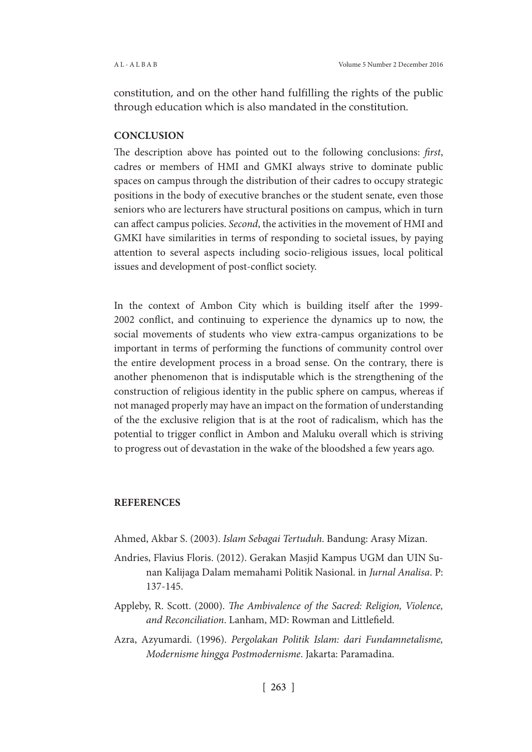constitution, and on the other hand fulfilling the rights of the public through education which is also mandated in the constitution.

## **CONCLUSION**

The description above has pointed out to the following conclusions: *first*, cadres or members of HMI and GMKI always strive to dominate public spaces on campus through the distribution of their cadres to occupy strategic positions in the body of executive branches or the student senate, even those seniors who are lecturers have structural positions on campus, which in turn can affect campus policies. *Second*, the activities in the movement of HMI and GMKI have similarities in terms of responding to societal issues, by paying attention to several aspects including socio-religious issues, local political issues and development of post-conflict society.

In the context of Ambon City which is building itself after the 1999- 2002 conflict, and continuing to experience the dynamics up to now, the social movements of students who view extra-campus organizations to be important in terms of performing the functions of community control over the entire development process in a broad sense. On the contrary, there is another phenomenon that is indisputable which is the strengthening of the construction of religious identity in the public sphere on campus, whereas if not managed properly may have an impact on the formation of understanding of the the exclusive religion that is at the root of radicalism, which has the potential to trigger conflict in Ambon and Maluku overall which is striving to progress out of devastation in the wake of the bloodshed a few years ago.

## **REFERENCES**

- Ahmed, Akbar S. (2003). *Islam Sebagai Tertuduh*. Bandung: Arasy Mizan.
- Andries, Flavius Floris. (2012). Gerakan Masjid Kampus UGM dan UIN Sunan Kalijaga Dalam memahami Politik Nasional. in *Jurnal Analisa*. P: 137-145.
- Appleby, R. Scott. (2000). *The Ambivalence of the Sacred: Religion, Violence, and Reconciliation*. Lanham, MD: Rowman and Littlefield.
- Azra, Azyumardi. (1996). *Pergolakan Politik Islam: dari Fundamnetalisme, Modernisme hingga Postmodernisme*. Jakarta: Paramadina.